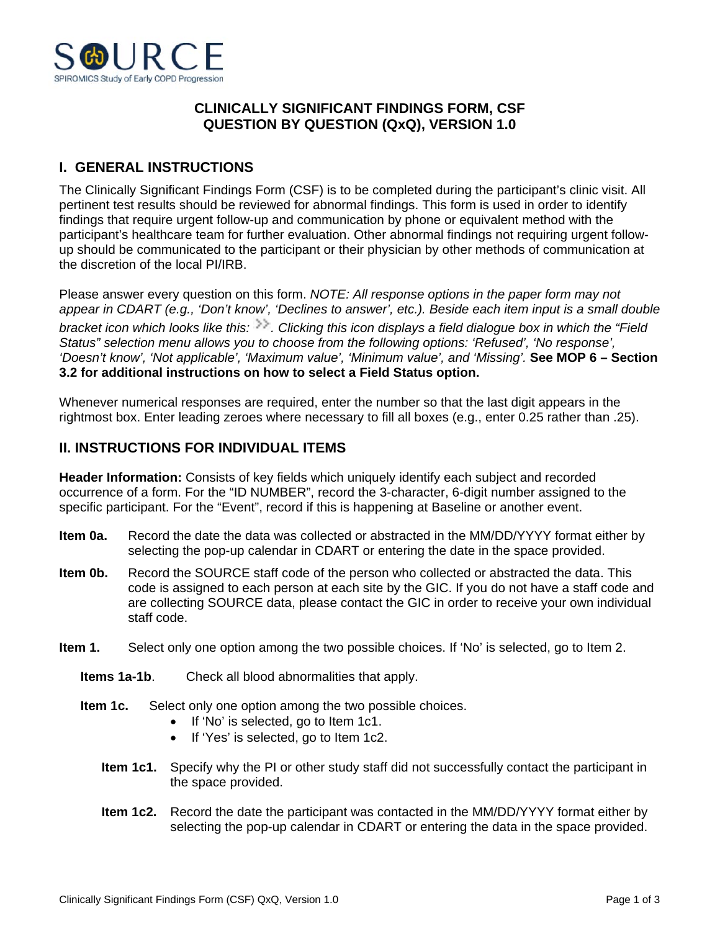

## **CLINICALLY SIGNIFICANT FINDINGS FORM, CSF QUESTION BY QUESTION (QxQ), VERSION 1.0**

## **I. GENERAL INSTRUCTIONS**

The Clinically Significant Findings Form (CSF) is to be completed during the participant's clinic visit. All pertinent test results should be reviewed for abnormal findings. This form is used in order to identify findings that require urgent follow-up and communication by phone or equivalent method with the participant's healthcare team for further evaluation. Other abnormal findings not requiring urgent followup should be communicated to the participant or their physician by other methods of communication at the discretion of the local PI/IRB.

Please answer every question on this form. *NOTE: All response options in the paper form may not appear in CDART (e.g., 'Don't know', 'Declines to answer', etc.). Beside each item input is a small double bracket icon which looks like this: . Clicking this icon displays a field dialogue box in which the "Field Status" selection menu allows you to choose from the following options: 'Refused', 'No response', 'Doesn't know', 'Not applicable', 'Maximum value', 'Minimum value', and 'Missing'.* **See MOP 6 – Section 3.2 for additional instructions on how to select a Field Status option.**

Whenever numerical responses are required, enter the number so that the last digit appears in the rightmost box. Enter leading zeroes where necessary to fill all boxes (e.g., enter 0.25 rather than .25).

## **II. INSTRUCTIONS FOR INDIVIDUAL ITEMS**

**Header Information:** Consists of key fields which uniquely identify each subject and recorded occurrence of a form. For the "ID NUMBER", record the 3-character, 6-digit number assigned to the specific participant. For the "Event", record if this is happening at Baseline or another event.

- **Item 0a.** Record the date the data was collected or abstracted in the MM/DD/YYYY format either by selecting the pop-up calendar in CDART or entering the date in the space provided.
- **Item 0b.** Record the SOURCE staff code of the person who collected or abstracted the data. This code is assigned to each person at each site by the GIC. If you do not have a staff code and are collecting SOURCE data, please contact the GIC in order to receive your own individual staff code.
- **Item 1.** Select only one option among the two possible choices. If 'No' is selected, go to Item 2.
	- **Items 1a-1b**. Check all blood abnormalities that apply.
	- **Item 1c.** Select only one option among the two possible choices.
		- If 'No' is selected, go to Item 1c1.
		- If 'Yes' is selected, go to Item 1c2.
		- **Item 1c1.** Specify why the PI or other study staff did not successfully contact the participant in the space provided.
		- **Item 1c2.** Record the date the participant was contacted in the MM/DD/YYYY format either by selecting the pop-up calendar in CDART or entering the data in the space provided.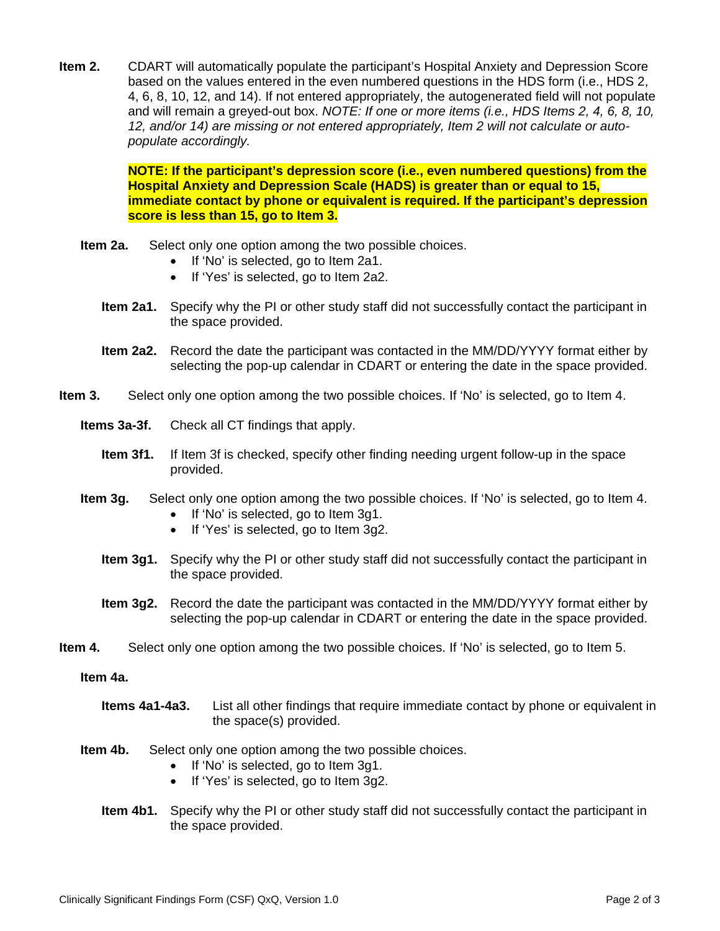**Item 2.** CDART will automatically populate the participant's Hospital Anxiety and Depression Score based on the values entered in the even numbered questions in the HDS form (i.e., HDS 2, 4, 6, 8, 10, 12, and 14). If not entered appropriately, the autogenerated field will not populate and will remain a greyed-out box. *NOTE: If one or more items (i.e., HDS Items 2, 4, 6, 8, 10, 12, and/or 14) are missing or not entered appropriately, Item 2 will not calculate or autopopulate accordingly.*

> **NOTE: If the participant's depression score (i.e., even numbered questions) from the Hospital Anxiety and Depression Scale (HADS) is greater than or equal to 15, immediate contact by phone or equivalent is required. If the participant's depression score is less than 15, go to Item 3.**

- **Item 2a.** Select only one option among the two possible choices.
	- If 'No' is selected, go to Item 2a1.
	- If 'Yes' is selected, go to Item 2a2.
	- **Item 2a1.** Specify why the PI or other study staff did not successfully contact the participant in the space provided.
	- **Item 2a2.** Record the date the participant was contacted in the MM/DD/YYYY format either by selecting the pop-up calendar in CDART or entering the date in the space provided.
- **Item 3.** Select only one option among the two possible choices. If 'No' is selected, go to Item 4.
	- **Items 3a-3f.** Check all CT findings that apply.
		- **Item 3f1.** If Item 3f is checked, specify other finding needing urgent follow-up in the space provided.
	- **Item 3g.** Select only one option among the two possible choices. If 'No' is selected, go to Item 4.
		- If 'No' is selected, go to Item 3g1.
		- If 'Yes' is selected, go to Item 3g2.
		- **Item 3g1.** Specify why the PI or other study staff did not successfully contact the participant in the space provided.
		- **Item 3g2.** Record the date the participant was contacted in the MM/DD/YYYY format either by selecting the pop-up calendar in CDART or entering the date in the space provided.
- **Item 4.** Select only one option among the two possible choices. If 'No' is selected, go to Item 5.

## **Item 4a.**

- **Items 4a1-4a3.** List all other findings that require immediate contact by phone or equivalent in the space(s) provided.
- **Item 4b.** Select only one option among the two possible choices.
	- If 'No' is selected, go to Item 3g1.
	- If 'Yes' is selected, go to Item 3g2.
	- **Item 4b1.** Specify why the PI or other study staff did not successfully contact the participant in the space provided.